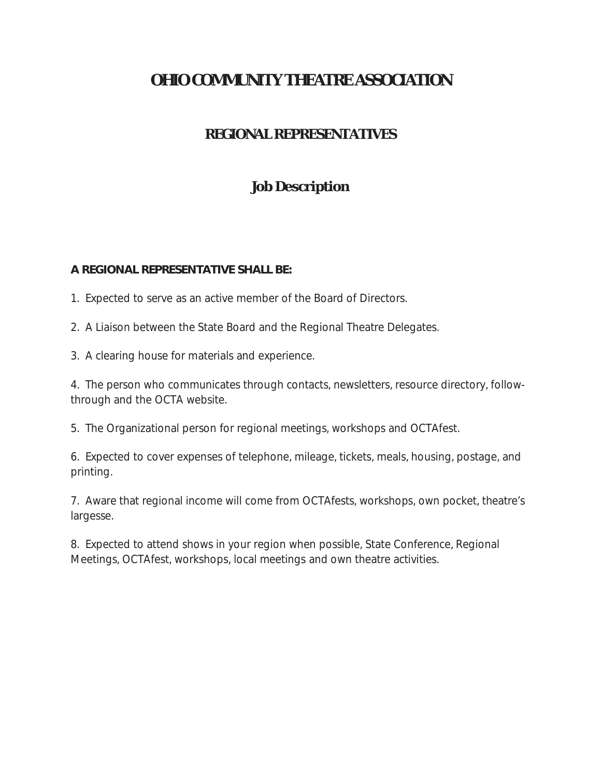# *OHIO COMMUNITY THEATRE ASSOCIATION*

## **REGIONAL REPRESENTATIVES**

### **Job Description**

#### **A REGIONAL REPRESENTATIVE SHALL BE:**

1. Expected to serve as an active member of the Board of Directors.

2. A Liaison between the State Board and the Regional Theatre Delegates.

3. A clearing house for materials and experience.

4. The person who communicates through contacts, newsletters, resource directory, followthrough and the OCTA website.

5. The Organizational person for regional meetings, workshops and OCTAfest.

6. Expected to cover expenses of telephone, mileage, tickets, meals, housing, postage, and printing.

7. Aware that regional income will come from OCTAfests, workshops, own pocket, theatre's largesse.

8. Expected to attend shows in your region when possible, State Conference, Regional Meetings, OCTAfest, workshops, local meetings and own theatre activities.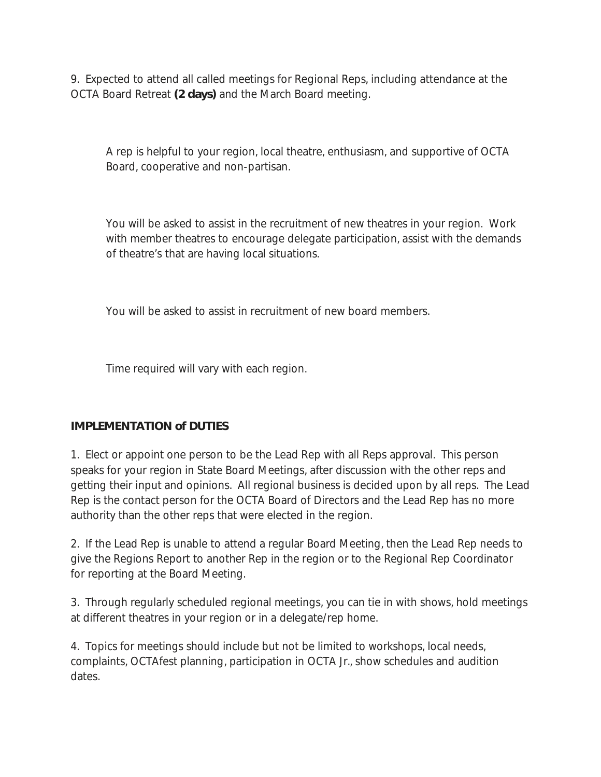9. Expected to attend all called meetings for Regional Reps, including attendance at the OCTA Board Retreat **(2 days)** and the March Board meeting.

A rep is helpful to your region, local theatre, enthusiasm, and supportive of OCTA Board, cooperative and non-partisan.

You will be asked to assist in the recruitment of new theatres in your region. Work with member theatres to encourage delegate participation, assist with the demands of theatre's that are having local situations.

You will be asked to assist in recruitment of new board members.

Time required will vary with each region.

### **IMPLEMENTATION of DUTIES**

1. Elect or appoint one person to be the Lead Rep with all Reps approval. This person speaks for your region in State Board Meetings, after discussion with the other reps and getting their input and opinions. All regional business is decided upon by all reps. The Lead Rep is the contact person for the OCTA Board of Directors and the Lead Rep has no more authority than the other reps that were elected in the region.

2. If the Lead Rep is unable to attend a regular Board Meeting, then the Lead Rep needs to give the Regions Report to another Rep in the region or to the Regional Rep Coordinator for reporting at the Board Meeting.

3. Through regularly scheduled regional meetings, you can tie in with shows, hold meetings at different theatres in your region or in a delegate/rep home.

4. Topics for meetings should include but not be limited to workshops, local needs, complaints, OCTAfest planning, participation in OCTA Jr., show schedules and audition dates.